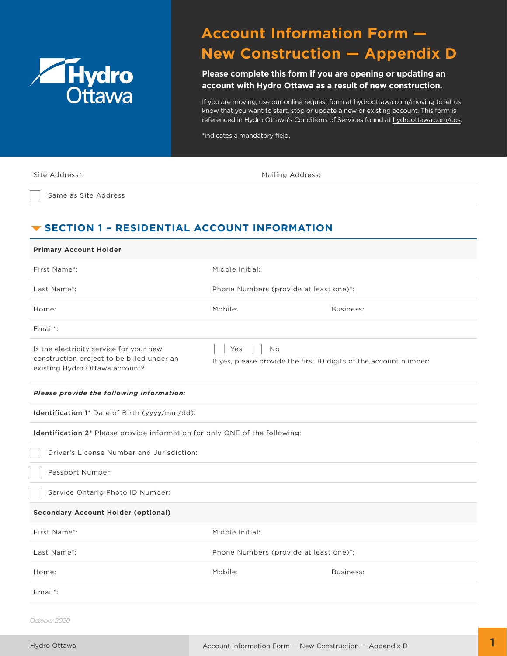

# **Account Information Form — New Construction — Appendix D**

**Please complete this form if you are opening or updating an account with Hydro Ottawa as a result of new construction.**

If you are moving, use our online request form at hydroottawa.com/moving to let us know that you want to start, stop or update a new or existing account. This form is referenced in Hydro Ottawa's Conditions of Services found at [hydroottawa.com/cos.](https://hydroottawa.com/en/about-us/policies/conditions-service)

\*indicates a mandatory field.

| Site Address*:       | <b>Mailing Address:</b> |
|----------------------|-------------------------|
| Same as Site Address |                         |

# **V SECTION 1 - RESIDENTIAL ACCOUNT INFORMATION**

| <b>Primary Account Holder</b>                                                                                           |                                                                                       |           |  |  |  |
|-------------------------------------------------------------------------------------------------------------------------|---------------------------------------------------------------------------------------|-----------|--|--|--|
| First Name*:                                                                                                            | Middle Initial:                                                                       |           |  |  |  |
| Last Name*:                                                                                                             | Phone Numbers (provide at least one)*:                                                |           |  |  |  |
| Home:                                                                                                                   | Mobile:                                                                               | Business: |  |  |  |
| $Email$ :                                                                                                               |                                                                                       |           |  |  |  |
| Is the electricity service for your new<br>construction project to be billed under an<br>existing Hydro Ottawa account? | Yes<br><b>No</b><br>If yes, please provide the first 10 digits of the account number: |           |  |  |  |
| Please provide the following information:                                                                               |                                                                                       |           |  |  |  |
| Identification 1* Date of Birth (yyyy/mm/dd):                                                                           |                                                                                       |           |  |  |  |
| Identification 2* Please provide information for only ONE of the following:                                             |                                                                                       |           |  |  |  |
| Driver's License Number and Jurisdiction:                                                                               |                                                                                       |           |  |  |  |
| Passport Number:                                                                                                        |                                                                                       |           |  |  |  |
| Service Ontario Photo ID Number:                                                                                        |                                                                                       |           |  |  |  |
| <b>Secondary Account Holder (optional)</b>                                                                              |                                                                                       |           |  |  |  |
| First Name*:                                                                                                            | Middle Initial:                                                                       |           |  |  |  |
| Last Name*:                                                                                                             | Phone Numbers (provide at least one)*:                                                |           |  |  |  |
| Home:                                                                                                                   | Mobile:                                                                               | Business: |  |  |  |
| $Email$ :                                                                                                               |                                                                                       |           |  |  |  |

*October 2020*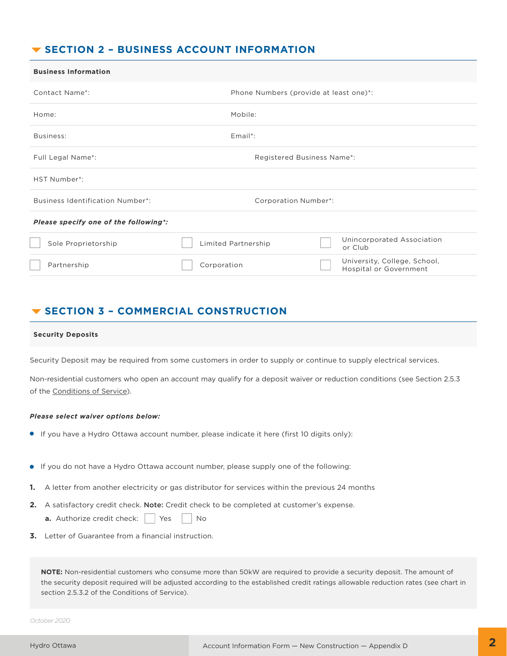### **SECTION 2 – BUSINESS ACCOUNT INFORMATION**

| <b>Business Information</b>             |                            |                                        |  |                                                        |  |
|-----------------------------------------|----------------------------|----------------------------------------|--|--------------------------------------------------------|--|
| Contact Name*:                          |                            | Phone Numbers (provide at least one)*: |  |                                                        |  |
| Home:                                   | Mobile:                    |                                        |  |                                                        |  |
| Business:                               | $Email$ :                  |                                        |  |                                                        |  |
| Full Legal Name*:                       | Registered Business Name*: |                                        |  |                                                        |  |
| HST Number*:                            |                            |                                        |  |                                                        |  |
| <b>Business Identification Number*:</b> | Corporation Number*:       |                                        |  |                                                        |  |
| Please specify one of the following*:   |                            |                                        |  |                                                        |  |
| Sole Proprietorship                     | Limited Partnership        |                                        |  | Unincorporated Association<br>or Club                  |  |
| Partnership                             | Corporation                |                                        |  | University, College, School,<br>Hospital or Government |  |

### **SECTION 3 – COMMERCIAL CONSTRUCTION**

#### **Security Deposits**

Security Deposit may be required from some customers in order to supply or continue to supply electrical services.

Non-residential customers who open an account may qualify for a deposit waiver or reduction conditions (see Section 2.5.3 of the [Conditions of Service](https://hydroottawa.com/en/about-us/policies/conditions-service)).

#### *Please select waiver options below:*

- If you have a Hydro Ottawa account number, please indicate it here (first 10 digits only):
- If you do not have a Hydro Ottawa account number, please supply one of the following:
- **1.** A letter from another electricity or gas distributor for services within the previous 24 months
- **2.** A satisfactory credit check. Note: Credit check to be completed at customer's expense.
	- **a.** Authorize credit check:  $\begin{array}{|c|c|c|c|c|} \hline \end{array}$  Yes  $\begin{array}{|c|c|c|c|c|} \hline \end{array}$  No
- **3.** Letter of Guarantee from a financial instruction.

**NOTE:** Non-residential customers who consume more than 50kW are required to provide a security deposit. The amount of the security deposit required will be adjusted according to the established credit ratings allowable reduction rates (see chart in section 2.5.3.2 of the Conditions of Service).

*October 2020*